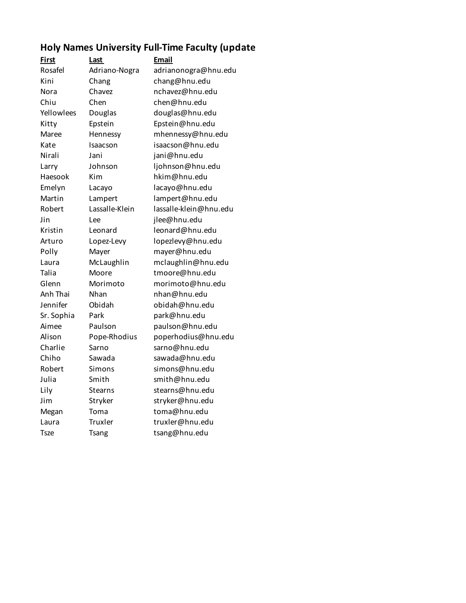## **Holy Names University Full-Time Faculty (update**

| <u>First</u> | <u>Last</u>    | Email                  |
|--------------|----------------|------------------------|
| Rosafel      | Adriano-Nogra  | adrianonogra@hnu.edu   |
| Kini         | Chang          | chang@hnu.edu          |
| Nora         | Chavez         | nchavez@hnu.edu        |
| Chiu         | Chen           | chen@hnu.edu           |
| Yellowlees   | Douglas        | douglas@hnu.edu        |
| Kitty        | Epstein        | Epstein@hnu.edu        |
| Maree        | Hennessy       | mhennessy@hnu.edu      |
| Kate         | Isaacson       | isaacson@hnu.edu       |
| Nirali       | Jani           | jani@hnu.edu           |
| Larry        | Johnson        | ljohnson@hnu.edu       |
| Haesook      | Kim            | hkim@hnu.edu           |
| Emelyn       | Lacayo         | lacayo@hnu.edu         |
| Martin       | Lampert        | lampert@hnu.edu        |
| Robert       | Lassalle-Klein | lassalle-klein@hnu.edu |
| Jin          | Lee            | jlee@hnu.edu           |
| Kristin      | Leonard        | leonard@hnu.edu        |
| Arturo       | Lopez-Levy     | lopezlevy@hnu.edu      |
| Polly        | Mayer          | mayer@hnu.edu          |
| Laura        | McLaughlin     | mclaughlin@hnu.edu     |
| Talia        | Moore          | tmoore@hnu.edu         |
| Glenn        | Morimoto       | morimoto@hnu.edu       |
| Anh Thai     | Nhan           | nhan@hnu.edu           |
| Jennifer     | Obidah         | obidah@hnu.edu         |
| Sr. Sophia   | Park           | park@hnu.edu           |
| Aimee        | Paulson        | paulson@hnu.edu        |
| Alison       | Pope-Rhodius   | poperhodius@hnu.edu    |
| Charlie      | Sarno          | sarno@hnu.edu          |
| Chiho        | Sawada         | sawada@hnu.edu         |
| Robert       | Simons         | simons@hnu.edu         |
| Julia        | Smith          | smith@hnu.edu          |
| Lily         | <b>Stearns</b> | stearns@hnu.edu        |
| Jim          | Stryker        | stryker@hnu.edu        |
| Megan        | Toma           | toma@hnu.edu           |
| Laura        | <b>Truxler</b> | truxler@hnu.edu        |
| <b>Tsze</b>  | <b>Tsang</b>   | tsang@hnu.edu          |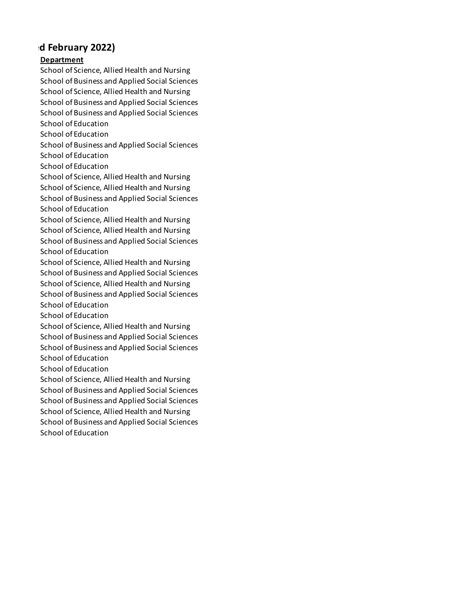## **d February 2022)**

## **Department**

School of Science, Allied Health and Nursing School of Business and Applied Social Sciences School of Science, Allied Health and Nursing School of Business and Applied Social Sciences School of Business and Applied Social Sciences School of Education School of Education School of Business and Applied Social Sciences School of Education School of Education School of Science, Allied Health and Nursing School of Science, Allied Health and Nursing School of Business and Applied Social Sciences School of Education School of Science, Allied Health and Nursing School of Science, Allied Health and Nursing School of Business and Applied Social Sciences School of Education School of Science, Allied Health and Nursing School of Business and Applied Social Sciences School of Science, Allied Health and Nursing School of Business and Applied Social Sciences School of Education School of Education School of Science, Allied Health and Nursing School of Business and Applied Social Sciences School of Business and Applied Social Sciences School of Education School of Education School of Science, Allied Health and Nursing School of Business and Applied Social Sciences School of Business and Applied Social Sciences School of Science, Allied Health and Nursing School of Business and Applied Social Sciences School of Education